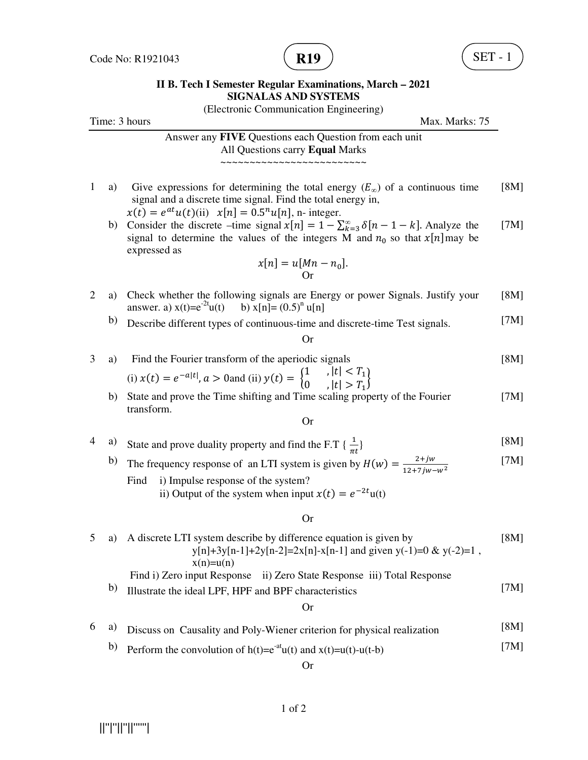

### **II B. Tech I Semester Regular Examinations, March – 2021 SIGNALAS AND SYSTEMS**

|                |    | (Electronic Communication Engineering)                                                                                                                                                                            |      |
|----------------|----|-------------------------------------------------------------------------------------------------------------------------------------------------------------------------------------------------------------------|------|
|                |    | Time: 3 hours<br>Max. Marks: 75                                                                                                                                                                                   |      |
|                |    | Answer any FIVE Questions each Question from each unit<br>All Questions carry Equal Marks                                                                                                                         |      |
|                |    |                                                                                                                                                                                                                   |      |
| 1              | a) | Give expressions for determining the total energy $(E_{\infty})$ of a continuous time<br>signal and a discrete time signal. Find the total energy in,<br>$x(t) = e^{at}u(t)$ (ii) $x[n] = 0.5nu[n]$ , n- integer. | [8M] |
|                | b) | Consider the discrete –time signal $x[n] = 1 - \sum_{k=3}^{\infty} \delta[n-1-k]$ . Analyze the<br>signal to determine the values of the integers M and $n_0$ so that $x[n]$ may be<br>expressed as               | [7M] |
|                |    | $x[n] = u[Mn - n_0].$<br>Or                                                                                                                                                                                       |      |
| $\overline{2}$ | a) | Check whether the following signals are Energy or power Signals. Justify your<br>answer. a) $x(t)=e^{-2t}u(t)$ b) $x[n]=(0.5)^n u[n]$                                                                             | [8M] |
|                | b) | Describe different types of continuous-time and discrete-time Test signals.                                                                                                                                       | [7M] |
|                |    | Or                                                                                                                                                                                                                |      |
| 3              | a) | Find the Fourier transform of the aperiodic signals                                                                                                                                                               | [8M] |
|                |    | (i) $x(t) = e^{-a t }, a > 0$ and (ii) $y(t) = \begin{cases} 1 & ,  t  < T_1 \\ 0 & ,  t  > T_1 \end{cases}$                                                                                                      |      |
|                | b) | State and prove the Time shifting and Time scaling property of the Fourier<br>transform.                                                                                                                          | [7M] |
|                |    | <b>Or</b>                                                                                                                                                                                                         |      |
| 4              | a) | State and prove duality property and find the F.T { $\frac{1}{\pi t}$ }                                                                                                                                           | [8M] |
|                | b) | The frequency response of an LTI system is given by $H(w) = \frac{2+jw}{12+7iw-w^2}$                                                                                                                              | [7M] |
|                |    | i) Impulse response of the system?<br>Find<br>ii) Output of the system when input $x(t) = e^{-2t}u(t)$                                                                                                            |      |
|                |    | <b>Or</b>                                                                                                                                                                                                         |      |
| 5              | a) | A discrete LTI system describe by difference equation is given by<br>$y[n]+3y[n-1]+2y[n-2]=2x[n]-x[n-1]$ and given $y(-1)=0$ & $y(-2)=1$ ,<br>$x(n)=u(n)$                                                         | [8M] |
|                |    | Find i) Zero input Response ii) Zero State Response iii) Total Response                                                                                                                                           |      |
|                | b) | Illustrate the ideal LPF, HPF and BPF characteristics                                                                                                                                                             | [7M] |
|                |    | <b>Or</b>                                                                                                                                                                                                         |      |
| 6              | a) | Discuss on Causality and Poly-Wiener criterion for physical realization                                                                                                                                           | [8M] |
|                | b) | Perform the convolution of $h(t)=e^{-at}u(t)$ and $x(t)=u(t)-u(t-b)$                                                                                                                                              | [7M] |
|                |    | <b>Or</b>                                                                                                                                                                                                         |      |
|                |    |                                                                                                                                                                                                                   |      |

 $\left\vert \left\vert \left\vert ^{n}\right\vert \right\vert \left\vert ^{n}\right\vert \left\vert \left\vert ^{n}\right\vert \right\vert ^{n+m}\right\vert$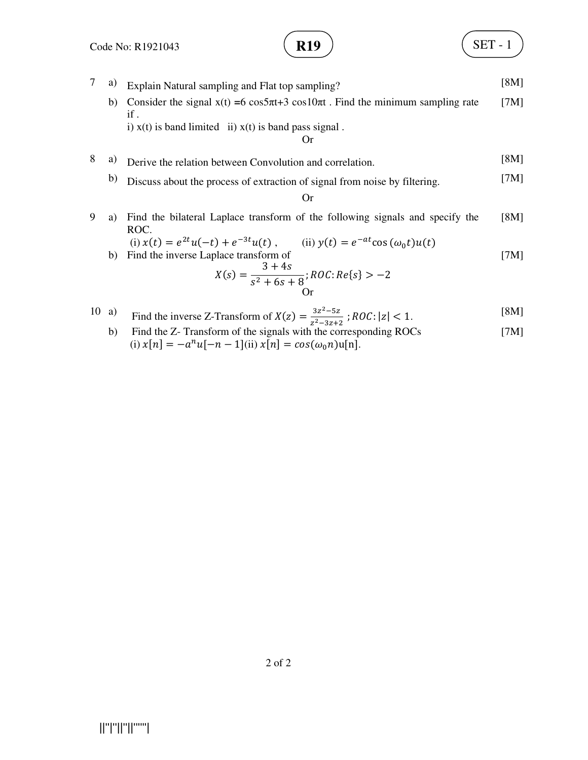$$
\left(\text{R19}\right)
$$

**SET - 1** 

7 a) Explain Natural sampling and Flat top sampling? [8M] b) Consider the signal  $x(t) = 6 \cos 5\pi t + 3 \cos 10\pi t$ . Find the minimum sampling rate if . i)  $x(t)$  is band limited ii)  $x(t)$  is band pass signal. [7M] Or 8 a) Derive the relation between Convolution and correlation. [8M] b) Discuss about the process of extraction of signal from noise by filtering. [7M] Or 9 a) Find the bilateral Laplace transform of the following signals and specify the ROC. (i)  $x(t) = e^{2t}u(-t) + e^{-3t}u$ (t), (ii)  $y(t) = e^{-at} \cos{(\omega_0 t)} u(t)$ [8M] b) Find the inverse Laplace transform of  $X(s) =$  $3 + 4s$  $\frac{1}{s^2 + 6s + 8}$ ; ROC: Re{s} > -2 [7M] Or

10 a) Find the inverse Z-Transform of 
$$
X(z) = \frac{3z^2 - 5z}{z^2 - 3z + 2}
$$
;  $ROC: |z| < 1$ .  $[8M]$ 

b) Find the Z- Transform of the signals with the corresponding ROCs (i)  $x[n] = -a^n u[-n-1]$ (ii)  $x[n] = cos(\omega_0 n)u[n]$ . [7M]

2 of 2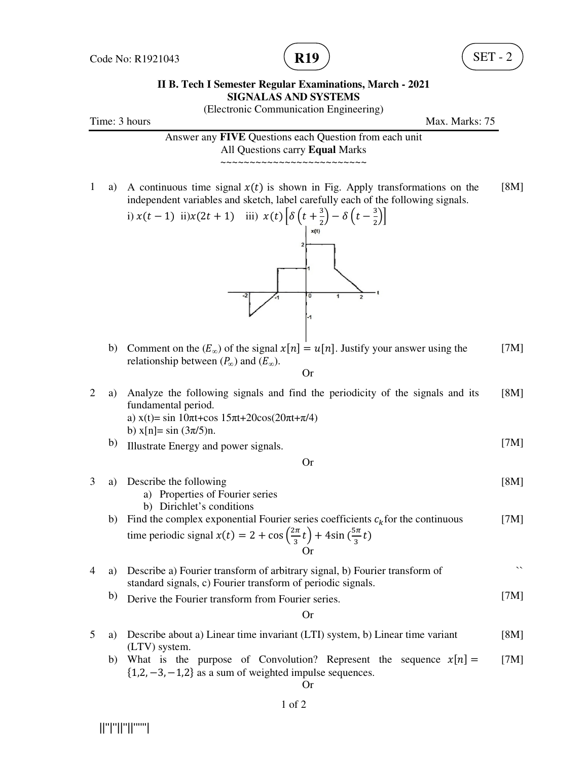

### **II B. Tech I Semester Regular Examinations, March - 2021 SIGNALAS AND SYSTEMS**

(Electronic Communication Engineering)

Time: 3 hours Max. Marks: 75

Answer any **FIVE** Questions each Question from each unit All Questions carry **Equal** Marks ~~~~~~~~~~~~~~~~~~~~~~~~~

1 a) A continuous time signal  $x(t)$  is shown in Fig. Apply transformations on the independent variables and sketch, label carefully each of the following signals. [8M]



b) Comment on the  $(E_{\infty})$  of the signal  $x[n] = u[n]$ . Justify your answer using the relationship between  $(P_{\infty})$  and  $(E_{\infty})$ . [7M]

Or

2 a) Analyze the following signals and find the periodicity of the signals and its fundamental period. a)  $x(t) = \sin 10\pi t + \cos 15\pi t + 20\cos(20\pi t + \pi/4)$ b)  $x[n] = \sin(3\pi/5)$ n. [8M] b) Illustrate Energy and power signals. [7M]

Or

- [8M]
- a) Properties of Fourier series b) Dirichlet's conditions b) Find the complex exponential Fourier series coefficients  $c_k$  for the continuous time periodic signal  $x(t) = 2 + \cos\left(\frac{2\pi}{3}\right)$  $\left(\frac{2\pi}{3}t\right)$  + 4sin  $\left(\frac{5\pi}{3}\right)$  $\frac{\pi}{3}t$ [7M] Or

4 a) Describe a) Fourier transform of arbitrary signal, b) Fourier transform of standard signals, c) Fourier transform of periodic signals. ``

b) Derive the Fourier transform from Fourier series. [7M]

$$
\operatorname{Or}
$$

- 5 a) Describe about a) Linear time invariant (LTI) system, b) Linear time variant (LTV) system. [8M]
	- b) What is the purpose of Convolution? Represent the sequence  $x[n] =$  $\{1, 2, -3, -1, 2\}$  as a sum of weighted impulse sequences. [7M]

Or



3 a) Describe the following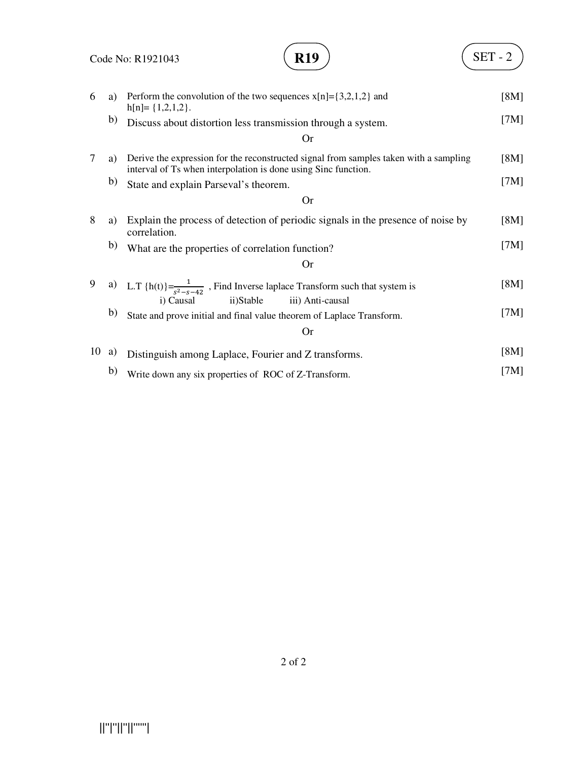Code No: R1921043

# **R19**  $\left( \text{SET - 2} \right)$

| 6  | a) | Perform the convolution of the two sequences $x[n]=\{3,2,1,2\}$ and<br>$h[n]=\{1,2,1,2\}.$                                                              | [8M] |
|----|----|---------------------------------------------------------------------------------------------------------------------------------------------------------|------|
|    | b) | Discuss about distortion less transmission through a system.                                                                                            | [7M] |
|    |    | Or                                                                                                                                                      |      |
| 7  | a) | Derive the expression for the reconstructed signal from samples taken with a sampling<br>interval of Ts when interpolation is done using Sinc function. | [8M] |
|    | b) | State and explain Parseval's theorem.                                                                                                                   | [7M] |
|    |    | <b>Or</b>                                                                                                                                               |      |
| 8  | a) | Explain the process of detection of periodic signals in the presence of noise by<br>correlation.                                                        | [8M] |
|    | b) | What are the properties of correlation function?                                                                                                        | [7M] |
|    |    | <b>Or</b>                                                                                                                                               |      |
| 9  |    | a) L.T {h(t)} = $\frac{1}{s^2 - s - 42}$ , Find Inverse laplace Transform such that system is<br>i) Causal<br>ii)Stable<br>iii) Anti-causal             | [8M] |
|    | b) | State and prove initial and final value theorem of Laplace Transform.                                                                                   | [7M] |
|    |    | <b>Or</b>                                                                                                                                               |      |
| 10 | a) | Distinguish among Laplace, Fourier and Z transforms.                                                                                                    | [8M] |
|    | b) | Write down any six properties of ROC of Z-Transform.                                                                                                    | [7M] |

||''|''||''||''''''|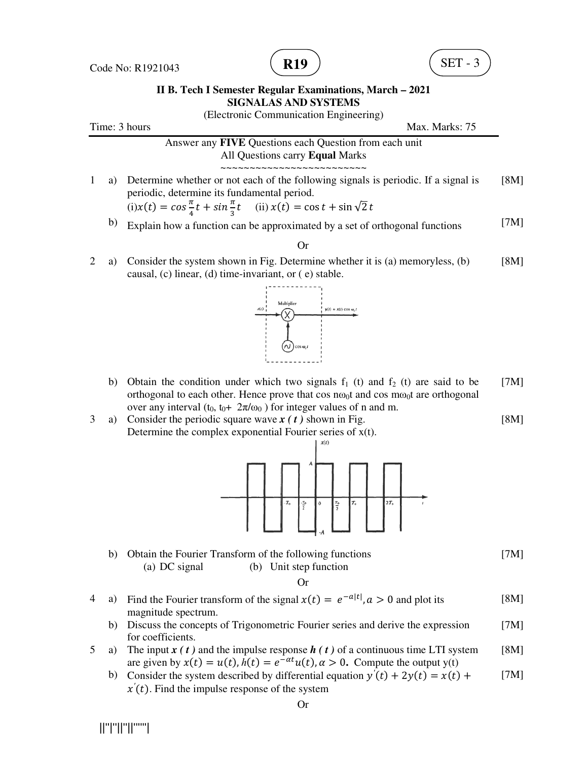Code No: R1921043





## **II B. Tech I Semester Regular Examinations, March – 2021 SIGNALAS AND SYSTEMS**

(Electronic Communication Engineering)

|                    | (Electronic Communication Engineering)                                                                                                                                                                                               |      |
|--------------------|--------------------------------------------------------------------------------------------------------------------------------------------------------------------------------------------------------------------------------------|------|
|                    | Time: 3 hours<br>Max. Marks: 75                                                                                                                                                                                                      |      |
|                    | Answer any FIVE Questions each Question from each unit<br>All Questions carry Equal Marks                                                                                                                                            |      |
| $\mathbf{1}$<br>a) | Determine whether or not each of the following signals is periodic. If a signal is<br>periodic, determine its fundamental period.<br>$f(x(t)) = \cos{\frac{\pi}{4}t} + \sin{\frac{\pi}{3}t}$ (ii) $x(t) = \cos{t} + \sin{\sqrt{2}t}$ | [8M] |
| b)                 | Explain how a function can be approximated by a set of orthogonal functions                                                                                                                                                          | [7M] |
|                    | <b>Or</b>                                                                                                                                                                                                                            |      |
| 2<br>a)            | Consider the system shown in Fig. Determine whether it is (a) memoryless, (b)<br>causal, (c) linear, (d) time-invariant, or (e) stable.                                                                                              | [8M] |
|                    | Multiplier<br>$y(t) = x(t) \cos \omega$<br>$\cos \omega_i t$                                                                                                                                                                         |      |
| b)                 | Obtain the condition under which two signals $f_1$ (t) and $f_2$ (t) are said to be<br>orthogonal to each other. Hence prove that $\cos n\omega_0 t$ and $\cos m\omega_0 t$ are orthogonal                                           | [7M] |
| 3<br>a)            | over any interval $(t_0, t_0+ 2\pi/\omega_0)$ for integer values of n and m.<br>Consider the periodic square wave $x(t)$ shown in Fig.<br>Determine the complex exponential Fourier series of $x(t)$ .                               | [8M] |
|                    | $-T_0$<br>$T_{\rm 0}$<br>$2T_0$<br>$\frac{T_0}{2}$<br>$\pmb{0}$<br>$\frac{T_0}{2}$                                                                                                                                                   |      |
| b)                 | Obtain the Fourier Transform of the following functions<br>(b) Unit step function<br>(a) DC signal<br><b>Or</b>                                                                                                                      | [7M] |
| 4<br>a)            | Find the Fourier transform of the signal $x(t) = e^{-a t }$ , $a > 0$ and plot its                                                                                                                                                   | [8M] |
| b)                 | magnitude spectrum.<br>Discuss the concepts of Trigonometric Fourier series and derive the expression<br>for coefficients.                                                                                                           | [7M] |

- 5 a) The input  $x(t)$  and the impulse response  $h(t)$  of a continuous time LTI system are given by  $x(t) = u(t)$ ,  $h(t) = e^{-\alpha t}u(t)$ ,  $\alpha > 0$ . Compute the output y(t) [8M]
	- b) Consider the system described by differential equation  $y'(t) + 2y(t) = x(t) +$  $x'(t)$ . Find the impulse response of the system [7M]

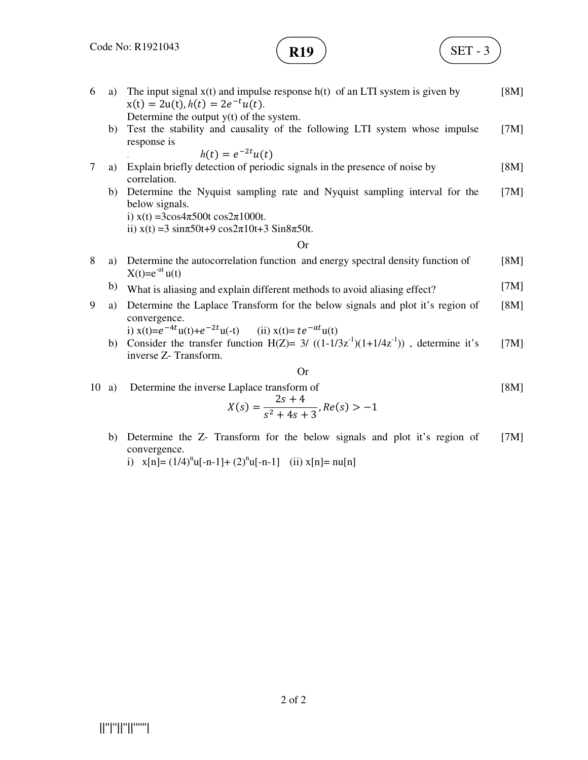

$$
\mathbf{R19} \quad \begin{pmatrix} \text{SET - 3} \\ \end{pmatrix}
$$

[7M]

- 6 a) The input signal  $x(t)$  and impulse response h(t) of an LTI system is given by  $x(t) = 2u(t), h(t) = 2e^{-t}u(t).$ Determine the output  $y(t)$  of the system. [8M] b) Test the stability and causality of the following LTI system whose impulse response is *h*(*t*) =  $e^{-2t}u(t)$ [7M]
- 7 a) Explain briefly detection of periodic signals in the presence of noise by correlation. [8M]
	- b) Determine the Nyquist sampling rate and Nyquist sampling interval for the below signals. [7M]

i)  $x(t) = 3\cos 4\pi 500t \cos 2\pi 1000t$ .

ii)  $x(t) = 3 \sin(\pi 50t) + 9 \cos(2\pi 10t) + 3 \sin(8\pi 50t)$ .

### Or

- 8 a) Determine the autocorrelation function and energy spectral density function of  $X(t)=e^{-at}u(t)$ [8M]
	- b) What is aliasing and explain different methods to avoid aliasing effect? [7M]
- 9 a) Determine the Laplace Transform for the below signals and plot it's region of convergence. [8M]

i) 
$$
x(t)=e^{-4t}u(t)+e^{-2t}u(-t)
$$
 (ii)  $x(t)=te^{-at}u(t)$ 

b) Consider the transfer function H(Z)=  $3/((1-1/3z^{-1})(1+1/4z^{-1}))$ , determine it's inverse Z- Transform. [7M]

$$
\quad \text{Or}
$$

10 a) Determine the inverse Laplace transform of  $X(s) =$  $2s + 4$ [8M]

$$
X(s) = \frac{x(s) - 1}{s^2 + 4s + 3}, Re(s) > -1
$$
  
b) Determine the Z- Transform for the below signals and plot it's region of

- convergence.
	- i)  $x[n] = (1/4)^{n}u[-n-1] + (2)^{n}u[-n-1]$  (ii)  $x[n] = nu[n]$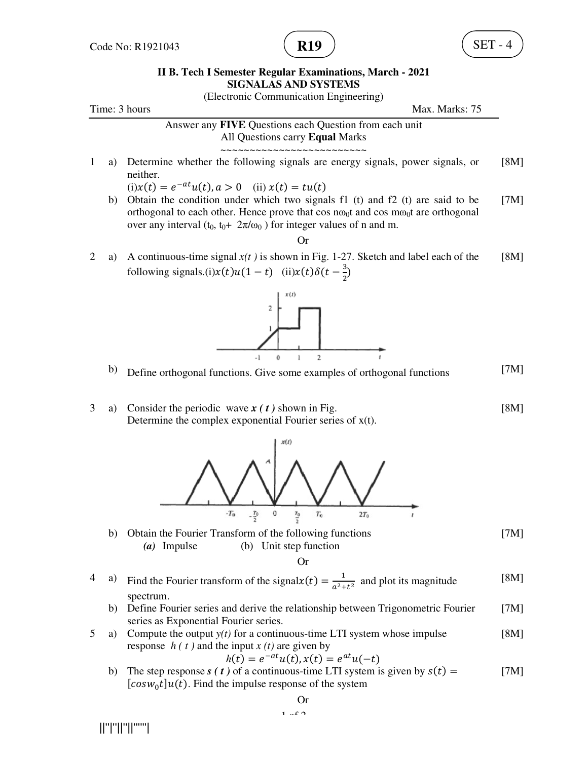

### **II B. Tech I Semester Regular Examinations, March - 2021 SIGNALAS AND SYSTEMS**

(Electronic Communication Engineering)

Time: 3 hours Max. Marks: 75

Answer any **FIVE** Questions each Question from each unit All Questions carry **Equal** Marks ~~~~~~~~~~~~~~~~~~~~~~~~~

1 a) Determine whether the following signals are energy signals, power signals, or neither. [8M]

 $(i)x(t) = e^{-at}u(t), a > 0$  (ii)  $x(t) = tu(t)$ 

b) Obtain the condition under which two signals f1 (t) and f2 (t) are said to be orthogonal to each other. Hence prove that cos no<sub>0</sub>t and cos mo<sub>0</sub>t are orthogonal over any interval (t<sub>0</sub>, t<sub>0</sub>+  $2\pi/\omega_0$ ) for integer values of n and m. [7M]

#### Or

2 a) A continuous-time signal *x(t )* is shown in Fig. 1-27. Sketch and label each of the following signals.(i) $x(t)u(1-t)$  (ii) $x(t)\delta(t-\frac{3}{2})$  $\frac{1}{2}$ [8M]



- b) Define orthogonal functions. Give some examples of orthogonal functions [7M]
- 3 a) Consider the periodic wave *x ( t )* shown in Fig. Determine the complex exponential Fourier series of x(t). [8M]



b) Obtain the Fourier Transform of the following functions *(a)* Impulse (b) Unit step function [7M]

Or

- 4 a) Find the Fourier transform of the signal $x(t) = \frac{1}{a^2 + 1}$  $\frac{1}{a^2+t^2}$  and plot its magnitude spectrum. [8M]
	- b) Define Fourier series and derive the relationship between Trigonometric Fourier series as Exponential Fourier series. [7M]
- 5 a) Compute the output *y(t)* for a continuous-time LTI system whose impulse response  $h(t)$  and the input  $x(t)$  are given by [8M]

$$
h(t) = e^{-at}u(t), x(t) = e^{at}u(-t)
$$

b) The step response  $s(t)$  of a continuous-time LTI system is given by  $s(t) =$  $[cos w_0 t] u(t)$ . Find the impulse response of the system [7M]

||''|''||''||''''''|